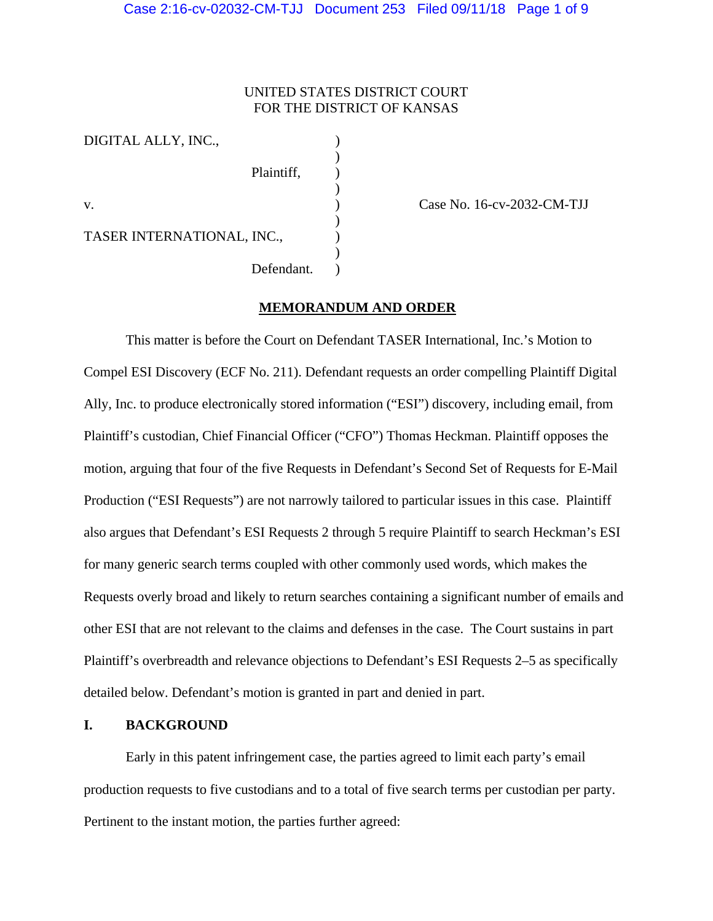# UNITED STATES DISTRICT COURT FOR THE DISTRICT OF KANSAS

DIGITAL ALLY, INC.,  $)$ Plaintiff,  $)$  $\overline{\phantom{a}}$ v. **Case No. 16-cv-2032-CM-TJJ**  $)$ TASER INTERNATIONAL, INC.,  $)$ Defendant.

#### **MEMORANDUM AND ORDER**

This matter is before the Court on Defendant TASER International, Inc.'s Motion to Compel ESI Discovery (ECF No. 211). Defendant requests an order compelling Plaintiff Digital Ally, Inc. to produce electronically stored information ("ESI") discovery, including email, from Plaintiff's custodian, Chief Financial Officer ("CFO") Thomas Heckman. Plaintiff opposes the motion, arguing that four of the five Requests in Defendant's Second Set of Requests for E-Mail Production ("ESI Requests") are not narrowly tailored to particular issues in this case. Plaintiff also argues that Defendant's ESI Requests 2 through 5 require Plaintiff to search Heckman's ESI for many generic search terms coupled with other commonly used words, which makes the Requests overly broad and likely to return searches containing a significant number of emails and other ESI that are not relevant to the claims and defenses in the case. The Court sustains in part Plaintiff's overbreadth and relevance objections to Defendant's ESI Requests 2–5 as specifically detailed below. Defendant's motion is granted in part and denied in part.

# **I. BACKGROUND**

Early in this patent infringement case, the parties agreed to limit each party's email production requests to five custodians and to a total of five search terms per custodian per party. Pertinent to the instant motion, the parties further agreed: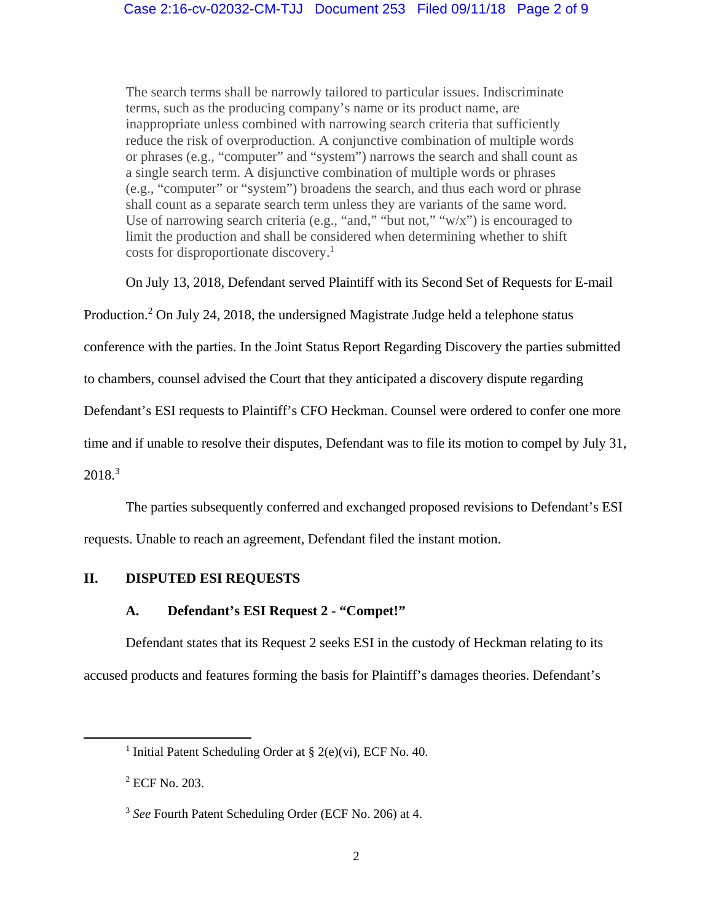The search terms shall be narrowly tailored to particular issues. Indiscriminate terms, such as the producing company's name or its product name, are inappropriate unless combined with narrowing search criteria that sufficiently reduce the risk of overproduction. A conjunctive combination of multiple words or phrases (e.g., "computer" and "system") narrows the search and shall count as a single search term. A disjunctive combination of multiple words or phrases (e.g., "computer" or "system") broadens the search, and thus each word or phrase shall count as a separate search term unless they are variants of the same word. Use of narrowing search criteria (e.g., "and," "but not," " $w/x$ ") is encouraged to limit the production and shall be considered when determining whether to shift costs for disproportionate discovery.<sup>1</sup>

On July 13, 2018, Defendant served Plaintiff with its Second Set of Requests for E-mail

Production.<sup>2</sup> On July 24, 2018, the undersigned Magistrate Judge held a telephone status

conference with the parties. In the Joint Status Report Regarding Discovery the parties submitted

to chambers, counsel advised the Court that they anticipated a discovery dispute regarding

Defendant's ESI requests to Plaintiff's CFO Heckman. Counsel were ordered to confer one more

time and if unable to resolve their disputes, Defendant was to file its motion to compel by July 31,

 $2018.<sup>3</sup>$ 

The parties subsequently conferred and exchanged proposed revisions to Defendant's ESI requests. Unable to reach an agreement, Defendant filed the instant motion.

# **II. DISPUTED ESI REQUESTS**

## **A. Defendant's ESI Request 2 - "Compet!"**

Defendant states that its Request 2 seeks ESI in the custody of Heckman relating to its accused products and features forming the basis for Plaintiff's damages theories. Defendant's

<sup>&</sup>lt;sup>1</sup> Initial Patent Scheduling Order at  $\S$  2(e)(vi), ECF No. 40.

<sup>2</sup> ECF No. 203.

<sup>3</sup> *See* Fourth Patent Scheduling Order (ECF No. 206) at 4.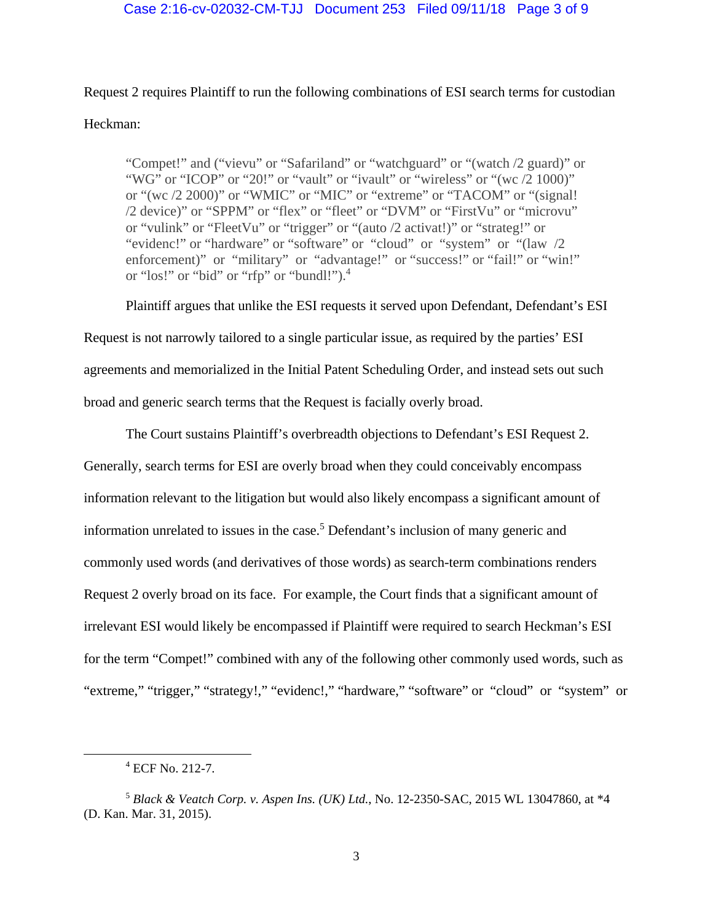## Case 2:16-cv-02032-CM-TJJ Document 253 Filed 09/11/18 Page 3 of 9

# Request 2 requires Plaintiff to run the following combinations of ESI search terms for custodian Heckman:

"Compet!" and ("vievu" or "Safariland" or "watchguard" or "(watch /2 guard)" or "WG" or "ICOP" or "20!" or "vault" or "ivault" or "wireless" or "(wc /2 1000)" or "(wc /2 2000)" or "WMIC" or "MIC" or "extreme" or "TACOM" or "(signal! /2 device)" or "SPPM" or "flex" or "fleet" or "DVM" or "FirstVu" or "microvu" or "vulink" or "FleetVu" or "trigger" or "(auto /2 activat!)" or "strateg!" or "evidenc!" or "hardware" or "software" or "cloud" or "system" or "(law /2 enforcement)" or "military" or "advantage!" or "success!" or "fail!" or "win!" or "los!" or "bid" or "rfp" or "bundl!").<sup>4</sup>

Plaintiff argues that unlike the ESI requests it served upon Defendant, Defendant's ESI

Request is not narrowly tailored to a single particular issue, as required by the parties' ESI agreements and memorialized in the Initial Patent Scheduling Order, and instead sets out such broad and generic search terms that the Request is facially overly broad.

The Court sustains Plaintiff's overbreadth objections to Defendant's ESI Request 2. Generally, search terms for ESI are overly broad when they could conceivably encompass information relevant to the litigation but would also likely encompass a significant amount of information unrelated to issues in the case.<sup>5</sup> Defendant's inclusion of many generic and commonly used words (and derivatives of those words) as search-term combinations renders Request 2 overly broad on its face. For example, the Court finds that a significant amount of irrelevant ESI would likely be encompassed if Plaintiff were required to search Heckman's ESI for the term "Compet!" combined with any of the following other commonly used words, such as "extreme," "trigger," "strategy!," "evidenc!," "hardware," "software" or "cloud" or "system" or

 4 ECF No. 212-7.

<sup>5</sup> *Black & Veatch Corp. v. Aspen Ins. (UK) Ltd.*, No. 12-2350-SAC, 2015 WL 13047860, at \*4 (D. Kan. Mar. 31, 2015).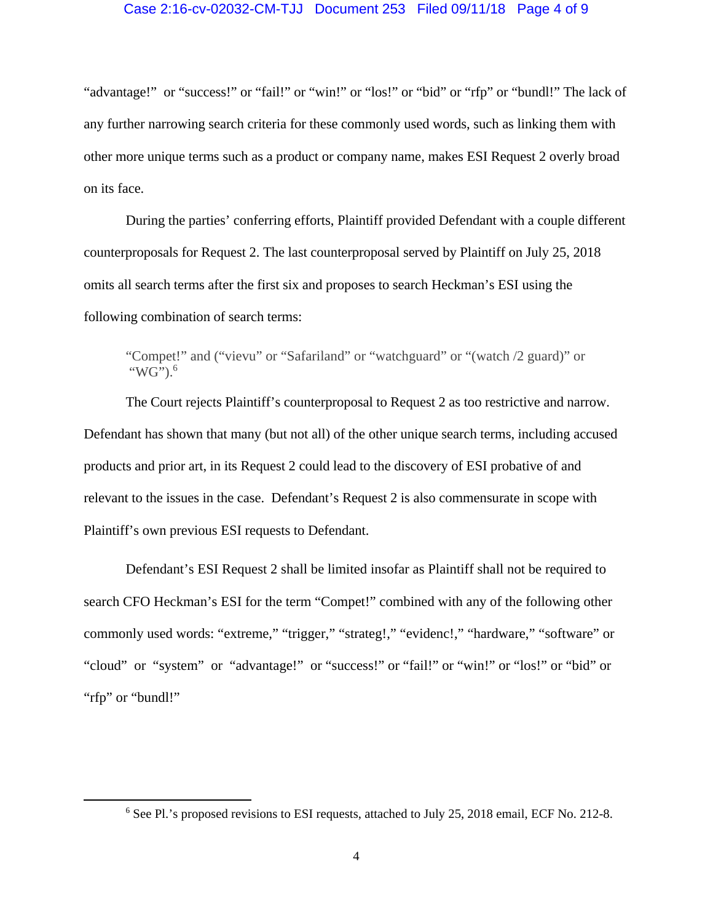#### Case 2:16-cv-02032-CM-TJJ Document 253 Filed 09/11/18 Page 4 of 9

"advantage!" or "success!" or "fail!" or "win!" or "los!" or "bid" or "rfp" or "bundl!" The lack of any further narrowing search criteria for these commonly used words, such as linking them with other more unique terms such as a product or company name, makes ESI Request 2 overly broad on its face.

During the parties' conferring efforts, Plaintiff provided Defendant with a couple different counterproposals for Request 2. The last counterproposal served by Plaintiff on July 25, 2018 omits all search terms after the first six and proposes to search Heckman's ESI using the following combination of search terms:

"Compet!" and ("vievu" or "Safariland" or "watchguard" or "(watch /2 guard)" or "WG"). $^6$ 

The Court rejects Plaintiff's counterproposal to Request 2 as too restrictive and narrow. Defendant has shown that many (but not all) of the other unique search terms, including accused products and prior art, in its Request 2 could lead to the discovery of ESI probative of and relevant to the issues in the case. Defendant's Request 2 is also commensurate in scope with Plaintiff's own previous ESI requests to Defendant.

Defendant's ESI Request 2 shall be limited insofar as Plaintiff shall not be required to search CFO Heckman's ESI for the term "Compet!" combined with any of the following other commonly used words: "extreme," "trigger," "strateg!," "evidenc!," "hardware," "software" or "cloud" or "system" or "advantage!" or "success!" or "fail!" or "win!" or "los!" or "bid" or "rfp" or "bundl!"

<sup>&</sup>lt;sup>6</sup> See Pl.'s proposed revisions to ESI requests, attached to July 25, 2018 email, ECF No. 212-8.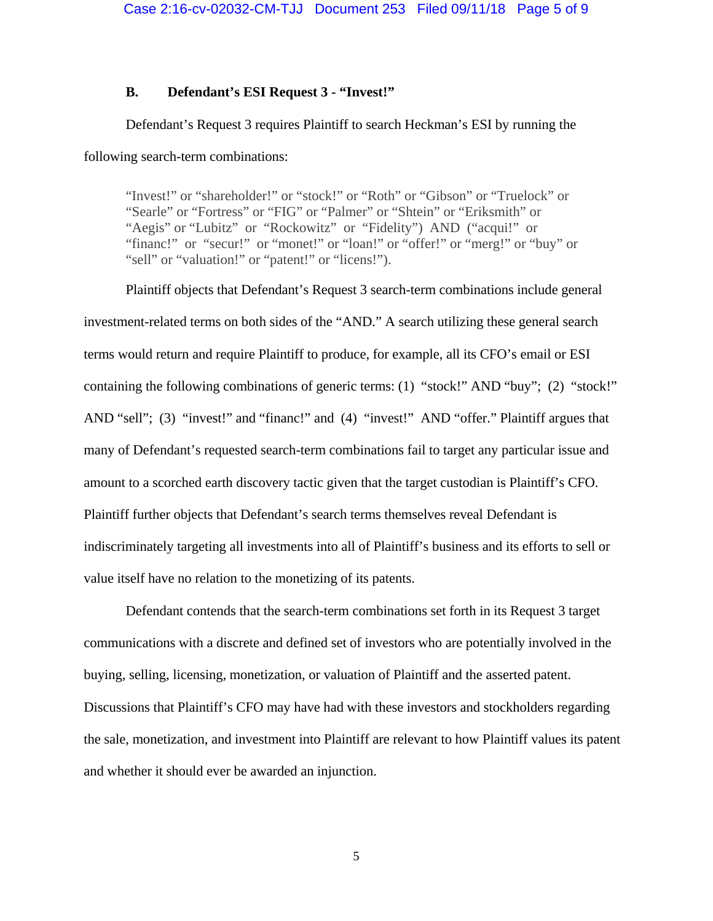# **B. Defendant's ESI Request 3 - "Invest!"**

Defendant's Request 3 requires Plaintiff to search Heckman's ESI by running the following search-term combinations:

"Invest!" or "shareholder!" or "stock!" or "Roth" or "Gibson" or "Truelock" or "Searle" or "Fortress" or "FIG" or "Palmer" or "Shtein" or "Eriksmith" or "Aegis" or "Lubitz" or "Rockowitz" or "Fidelity") AND ("acqui!" or "financ!" or "secur!" or "monet!" or "loan!" or "offer!" or "merg!" or "buy" or "sell" or "valuation!" or "patent!" or "licens!").

Plaintiff objects that Defendant's Request 3 search-term combinations include general investment-related terms on both sides of the "AND." A search utilizing these general search terms would return and require Plaintiff to produce, for example, all its CFO's email or ESI containing the following combinations of generic terms: (1) "stock!" AND "buy"; (2) "stock!" AND "sell"; (3) "invest!" and "financ!" and (4) "invest!" AND "offer." Plaintiff argues that many of Defendant's requested search-term combinations fail to target any particular issue and amount to a scorched earth discovery tactic given that the target custodian is Plaintiff's CFO. Plaintiff further objects that Defendant's search terms themselves reveal Defendant is indiscriminately targeting all investments into all of Plaintiff's business and its efforts to sell or value itself have no relation to the monetizing of its patents.

Defendant contends that the search-term combinations set forth in its Request 3 target communications with a discrete and defined set of investors who are potentially involved in the buying, selling, licensing, monetization, or valuation of Plaintiff and the asserted patent. Discussions that Plaintiff's CFO may have had with these investors and stockholders regarding the sale, monetization, and investment into Plaintiff are relevant to how Plaintiff values its patent and whether it should ever be awarded an injunction.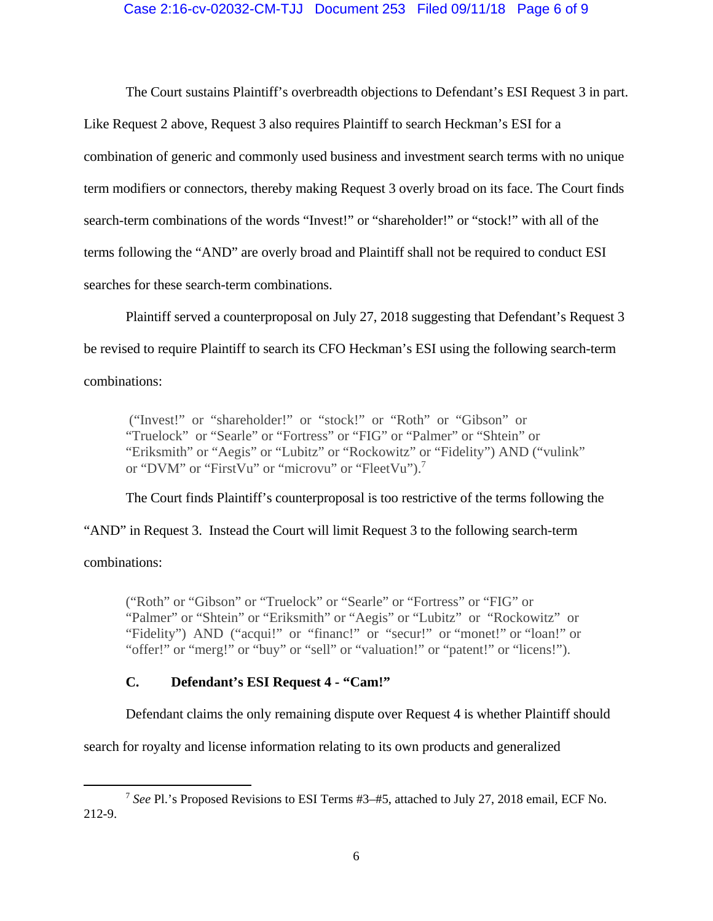## Case 2:16-cv-02032-CM-TJJ Document 253 Filed 09/11/18 Page 6 of 9

The Court sustains Plaintiff's overbreadth objections to Defendant's ESI Request 3 in part. Like Request 2 above, Request 3 also requires Plaintiff to search Heckman's ESI for a combination of generic and commonly used business and investment search terms with no unique term modifiers or connectors, thereby making Request 3 overly broad on its face. The Court finds search-term combinations of the words "Invest!" or "shareholder!" or "stock!" with all of the terms following the "AND" are overly broad and Plaintiff shall not be required to conduct ESI searches for these search-term combinations.

Plaintiff served a counterproposal on July 27, 2018 suggesting that Defendant's Request 3 be revised to require Plaintiff to search its CFO Heckman's ESI using the following search-term combinations:

 ("Invest!" or "shareholder!" or "stock!" or "Roth" or "Gibson" or "Truelock" or "Searle" or "Fortress" or "FIG" or "Palmer" or "Shtein" or "Eriksmith" or "Aegis" or "Lubitz" or "Rockowitz" or "Fidelity") AND ("vulink" or "DVM" or "FirstVu" or "microvu" or "FleetVu").<sup>7</sup>

The Court finds Plaintiff's counterproposal is too restrictive of the terms following the

"AND" in Request 3. Instead the Court will limit Request 3 to the following search-term

combinations:

("Roth" or "Gibson" or "Truelock" or "Searle" or "Fortress" or "FIG" or "Palmer" or "Shtein" or "Eriksmith" or "Aegis" or "Lubitz" or "Rockowitz" or "Fidelity") AND ("acqui!" or "financ!" or "secur!" or "monet!" or "loan!" or "offer!" or "merg!" or "buy" or "sell" or "valuation!" or "patent!" or "licens!").

# **C. Defendant's ESI Request 4 - "Cam!"**

Defendant claims the only remaining dispute over Request 4 is whether Plaintiff should

search for royalty and license information relating to its own products and generalized

<sup>7</sup> *See* Pl.'s Proposed Revisions to ESI Terms #3–#5, attached to July 27, 2018 email, ECF No. 212-9.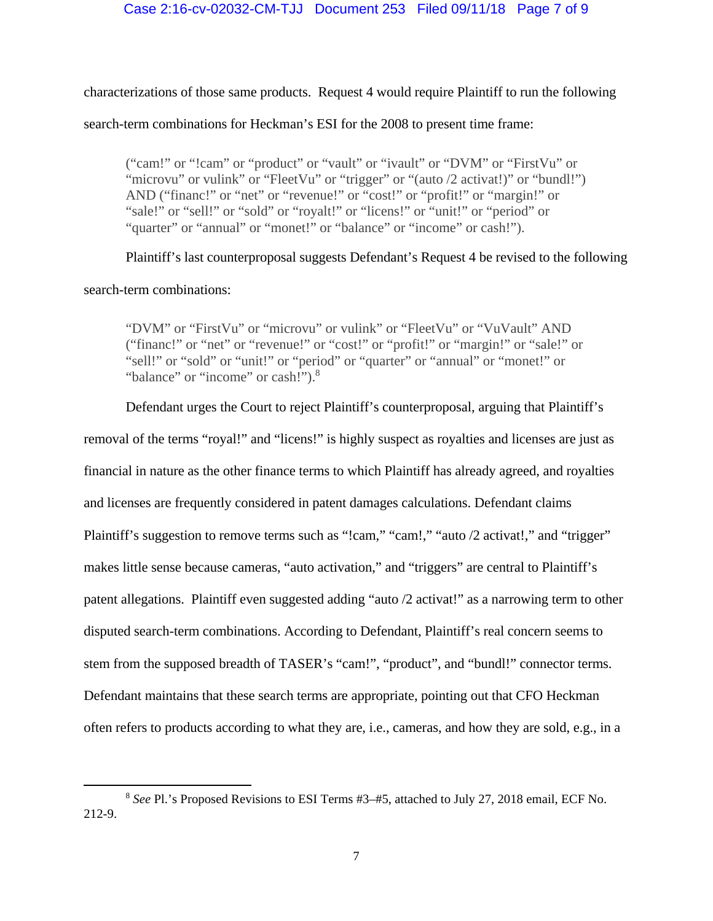characterizations of those same products. Request 4 would require Plaintiff to run the following

search-term combinations for Heckman's ESI for the 2008 to present time frame:

("cam!" or "!cam" or "product" or "vault" or "ivault" or "DVM" or "FirstVu" or "microvu" or vulink" or "FleetVu" or "trigger" or "(auto /2 activat!)" or "bundl!") AND ("financ!" or "net" or "revenue!" or "cost!" or "profit!" or "margin!" or "sale!" or "sell!" or "sold" or "royalt!" or "licens!" or "unit!" or "period" or "quarter" or "annual" or "monet!" or "balance" or "income" or cash!").

Plaintiff's last counterproposal suggests Defendant's Request 4 be revised to the following search-term combinations:

"DVM" or "FirstVu" or "microvu" or vulink" or "FleetVu" or "VuVault" AND ("financ!" or "net" or "revenue!" or "cost!" or "profit!" or "margin!" or "sale!" or "sell!" or "sold" or "unit!" or "period" or "quarter" or "annual" or "monet!" or "balance" or "income" or cash!").<sup>8</sup>

Defendant urges the Court to reject Plaintiff's counterproposal, arguing that Plaintiff's

removal of the terms "royal!" and "licens!" is highly suspect as royalties and licenses are just as financial in nature as the other finance terms to which Plaintiff has already agreed, and royalties and licenses are frequently considered in patent damages calculations. Defendant claims Plaintiff's suggestion to remove terms such as "!cam," "cam!," "auto /2 activat!," and "trigger" makes little sense because cameras, "auto activation," and "triggers" are central to Plaintiff's patent allegations. Plaintiff even suggested adding "auto /2 activat!" as a narrowing term to other disputed search-term combinations. According to Defendant, Plaintiff's real concern seems to stem from the supposed breadth of TASER's "cam!", "product", and "bundl!" connector terms. Defendant maintains that these search terms are appropriate, pointing out that CFO Heckman often refers to products according to what they are, i.e., cameras, and how they are sold, e.g., in a

<sup>8</sup> *See* Pl.'s Proposed Revisions to ESI Terms #3–#5, attached to July 27, 2018 email, ECF No. 212-9.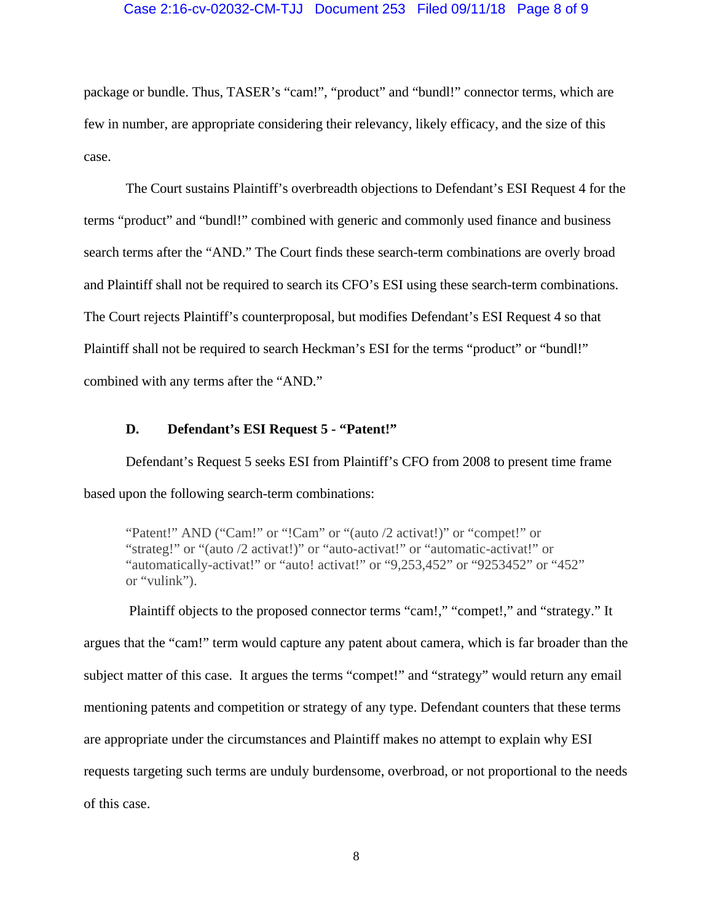#### Case 2:16-cv-02032-CM-TJJ Document 253 Filed 09/11/18 Page 8 of 9

package or bundle. Thus, TASER's "cam!", "product" and "bundl!" connector terms, which are few in number, are appropriate considering their relevancy, likely efficacy, and the size of this case.

The Court sustains Plaintiff's overbreadth objections to Defendant's ESI Request 4 for the terms "product" and "bundl!" combined with generic and commonly used finance and business search terms after the "AND." The Court finds these search-term combinations are overly broad and Plaintiff shall not be required to search its CFO's ESI using these search-term combinations. The Court rejects Plaintiff's counterproposal, but modifies Defendant's ESI Request 4 so that Plaintiff shall not be required to search Heckman's ESI for the terms "product" or "bundl!" combined with any terms after the "AND."

# **D. Defendant's ESI Request 5 - "Patent!"**

Defendant's Request 5 seeks ESI from Plaintiff's CFO from 2008 to present time frame based upon the following search-term combinations:

"Patent!" AND ("Cam!" or "!Cam" or "(auto /2 activat!)" or "compet!" or "strateg!" or "(auto /2 activat!)" or "auto-activat!" or "automatic-activat!" or "automatically-activat!" or "auto! activat!" or "9,253,452" or "9253452" or "452" or "vulink").

 Plaintiff objects to the proposed connector terms "cam!," "compet!," and "strategy." It argues that the "cam!" term would capture any patent about camera, which is far broader than the subject matter of this case. It argues the terms "compet!" and "strategy" would return any email mentioning patents and competition or strategy of any type. Defendant counters that these terms are appropriate under the circumstances and Plaintiff makes no attempt to explain why ESI requests targeting such terms are unduly burdensome, overbroad, or not proportional to the needs of this case.